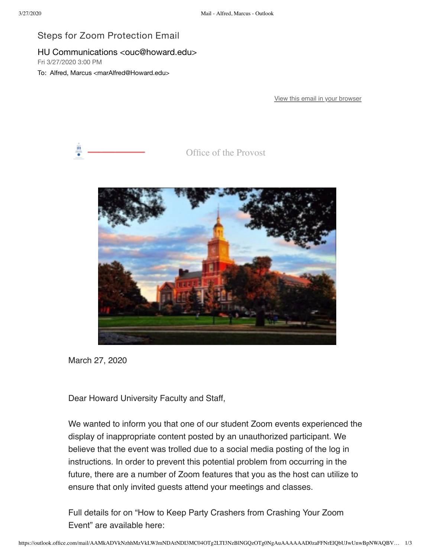## Steps for Zoom Protection Email

## HU Communications <ouc@howard.edu>

Fri 3/27/2020 3:00 PM

To: Alfred, Marcus <marAlfred@Howard.edu>

[View this email in your browser](https://nam04.safelinks.protection.outlook.com/?url=https%3A%2F%2Fmailchi.mp%2F7b3f91503173%2Fsteps-for-zoom-protection-email%3Fe%3D0058eb68db&data=02%7C01%7CmarAlfred%40Howard.edu%7C2e59c3ce91b44274fa5c08d7d281106c%7C02ac0c07b75f46bf9b133630ba94bb69%7C0%7C0%7C637209324079620358&sdata=%2Faa3iObMDRyDQYofLWREBaAMIzJM4n%2Bnc%2Bc6TsomGA0%3D&reserved=0)



Office of the Provost



March 27, 2020

Dear Howard University Faculty and Staff,

We wanted to inform you that one of our student Zoom events experienced the display of inappropriate content posted by an unauthorized participant. We believe that the event was trolled due to a social media posting of the log in instructions. In order to prevent this potential problem from occurring in the future, there are a number of Zoom features that you as the host can utilize to ensure that only invited guests attend your meetings and classes.

Full details for on "How to Keep Party Crashers from Crashing Your Zoom Event" are available here: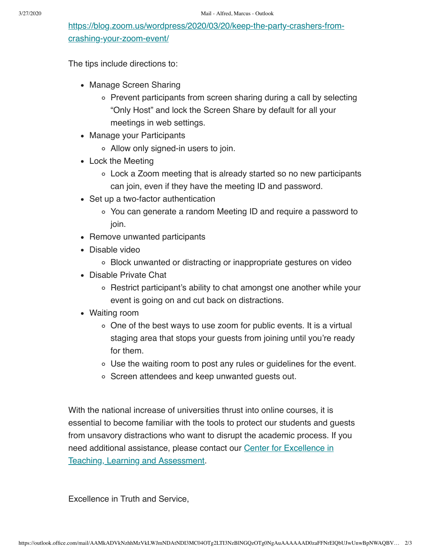[https://blog.zoom.us/wordpress/2020/03/20/keep-the-party-crashers-from](https://nam04.safelinks.protection.outlook.com/?url=https%3A%2F%2Fhoward.us3.list-manage.com%2Ftrack%2Fclick%3Fu%3Dda96b3e11d604fc7332653c0e%26id%3Dd536de4a03%26e%3D0058eb68db&data=02%7C01%7CmarAlfred%40Howard.edu%7C2e59c3ce91b44274fa5c08d7d281106c%7C02ac0c07b75f46bf9b133630ba94bb69%7C0%7C0%7C637209324079630354&sdata=Lo0TVvwY7xDeG2w8OqJntujWq40Qv3%2F7FlXV0SdIKzU%3D&reserved=0)crashing-your-zoom-event/

The tips include directions to:

- Manage Screen Sharing
	- Prevent participants from screen sharing during a call by selecting "Only Host" and lock the Screen Share by default for all your meetings in web settings.
- Manage your Participants
	- Allow only signed-in users to join.
- Lock the Meeting
	- Lock a Zoom meeting that is already started so no new participants can join, even if they have the meeting ID and password.
- Set up a two-factor authentication
	- You can generate a random Meeting ID and require a password to join.
- Remove unwanted participants
- Disable video
	- Block unwanted or distracting or inappropriate gestures on video
- Disable Private Chat
	- Restrict participant's ability to chat amongst one another while your event is going on and cut back on distractions.
- Waiting room
	- $\circ$  One of the best ways to use zoom for public events. It is a virtual staging area that stops your guests from joining until you're ready for them.
	- Use the waiting room to post any rules or guidelines for the event.
	- Screen attendees and keep unwanted guests out.

With the national increase of universities thrust into online courses, it is essential to become familiar with the tools to protect our students and guests from unsavory distractions who want to disrupt the academic process. If you [need additional assistance, please contact our Center for Excellence in](https://nam04.safelinks.protection.outlook.com/?url=https%3A%2F%2Fhoward.us3.list-manage.com%2Ftrack%2Fclick%3Fu%3Dda96b3e11d604fc7332653c0e%26id%3D9446aee7da%26e%3D0058eb68db&data=02%7C01%7CmarAlfred%40Howard.edu%7C2e59c3ce91b44274fa5c08d7d281106c%7C02ac0c07b75f46bf9b133630ba94bb69%7C0%7C0%7C637209324079640338&sdata=J04MqSfZPTNKsI97OG8YJ255hjt3yCtzdFMs7NGK9iU%3D&reserved=0) Teaching, Learning and Assessment.

Excellence in Truth and Service,